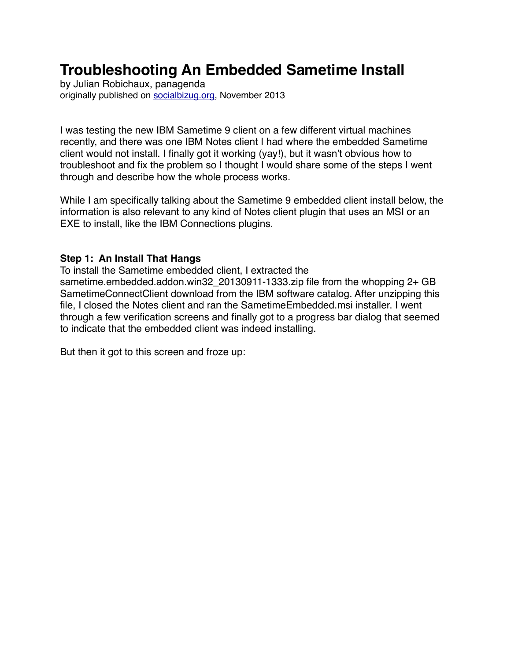# **Troubleshooting An Embedded Sametime Install**

by Julian Robichaux, panagenda originally published on [socialbizug.org](http://socialbizug.org), November 2013

I was testing the new IBM Sametime 9 client on a few different virtual machines recently, and there was one IBM Notes client I had where the embedded Sametime client would not install. I finally got it working (yay!), but it wasn't obvious how to troubleshoot and fix the problem so I thought I would share some of the steps I went through and describe how the whole process works.

While I am specifically talking about the Sametime 9 embedded client install below, the information is also relevant to any kind of Notes client plugin that uses an MSI or an EXE to install, like the IBM Connections plugins.

#### **Step 1: An Install That Hangs**

To install the Sametime embedded client, I extracted the sametime.embedded.addon.win32\_20130911-1333.zip file from the whopping 2+ GB SametimeConnectClient download from the IBM software catalog. After unzipping this file, I closed the Notes client and ran the SametimeEmbedded.msi installer. I went through a few verification screens and finally got to a progress bar dialog that seemed to indicate that the embedded client was indeed installing.

But then it got to this screen and froze up: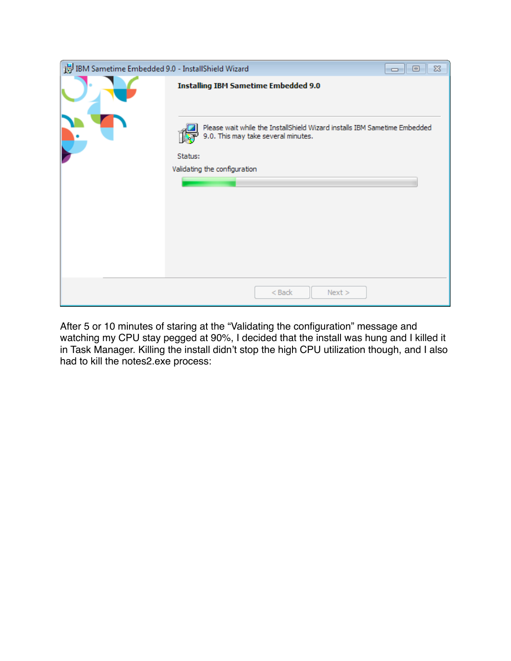| IBM Sametime Embedded 9.0 - InstallShield Wizard | $\Box$ 0<br>$\Sigma$                                                                                                                                                                                       |
|--------------------------------------------------|------------------------------------------------------------------------------------------------------------------------------------------------------------------------------------------------------------|
|                                                  | <b>Installing IBM Sametime Embedded 9.0</b><br>Please wait while the InstallShield Wizard installs IBM Sametime Embedded<br>9.0. This may take several minutes.<br>Status:<br>Validating the configuration |
|                                                  | $<$ Back<br>Next >                                                                                                                                                                                         |

After 5 or 10 minutes of staring at the "Validating the configuration" message and watching my CPU stay pegged at 90%, I decided that the install was hung and I killed it in Task Manager. Killing the install didn't stop the high CPU utilization though, and I also had to kill the notes2.exe process: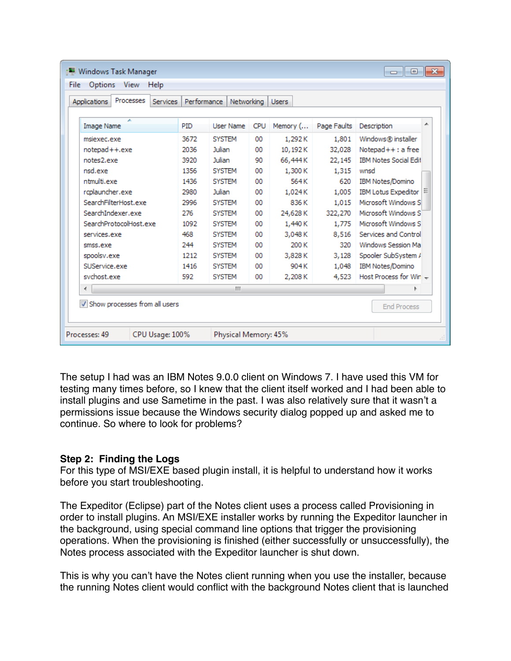| Processes<br>Applications<br><b>Services</b> | Performance | Networking    |            | <b>Users</b> |             |                              |  |
|----------------------------------------------|-------------|---------------|------------|--------------|-------------|------------------------------|--|
| ×<br><b>Image Name</b>                       | PID         | User Name     | <b>CPU</b> | Memory (     | Page Faults | ∸<br>Description             |  |
| msiexec.exe                                  | 3672        | <b>SYSTEM</b> | 00         | 1.292K       | 1.801       | Windows® installer           |  |
| notepad++.exe                                | 2036        | Julian        | 00         | 10,192K      | 32,028      | $Notepad++:a$ free           |  |
| notes2.exe                                   | 3920        | Julian        | 90         | 66,444K      | 22,145      | <b>IBM Notes Social Edit</b> |  |
| nsd.exe                                      | 1356        | <b>SYSTEM</b> | 00         | 1.300 K      | 1.315       | wnsd                         |  |
| ntmulti.exe                                  | 1436        | <b>SYSTEM</b> | 00         | 564 K        | 620         | IBM Notes/Domino             |  |
| rcplauncher.exe                              | 2980        | Julian        |            | 1.024K       | 1.005       | <b>IBM Lotus Expeditor</b>   |  |
| SearchFilterHost.exe                         | 2996        | <b>SYSTEM</b> | 00         | 836 K        | 1.015       | Microsoft Windows S          |  |
| SearchIndexer.exe                            | 276         | <b>SYSTEM</b> | 00         | 24,628K      | 322,270     | Microsoft Windows S          |  |
| SearchProtocolHost.exe                       | 1092        | <b>SYSTEM</b> | 00         | 1,440 K      | 1.775       | Microsoft Windows S          |  |
| services.exe                                 | 468         | <b>SYSTEM</b> | 00         | 3.048K       | 8.516       | Services and Control         |  |
| smss.exe                                     | 244         | <b>SYSTEM</b> | 00         | 200 K        | 320         | Windows Session Ma           |  |
| spoolsv.exe                                  | 1212        | <b>SYSTEM</b> | 00         | 3,828K       | 3,128       | Spooler SubSystem /          |  |
| SUService.exe                                | 1416        | <b>SYSTEM</b> | 00         | 904K         | 1.048       | IBM Notes/Domino             |  |
| sychost.exe                                  | 592         | <b>SYSTEM</b> | 00         | 2,208K       | 4,523       | Host Process for Win -       |  |
| ∢                                            |             | m.            |            |              |             |                              |  |
| V Show processes from all users              |             |               |            |              |             | <b>End Process</b>           |  |

The setup I had was an IBM Notes 9.0.0 client on Windows 7. I have used this VM for testing many times before, so I knew that the client itself worked and I had been able to install plugins and use Sametime in the past. I was also relatively sure that it wasn't a permissions issue because the Windows security dialog popped up and asked me to continue. So where to look for problems?

### **Step 2: Finding the Logs**

For this type of MSI/EXE based plugin install, it is helpful to understand how it works before you start troubleshooting.

The Expeditor (Eclipse) part of the Notes client uses a process called Provisioning in order to install plugins. An MSI/EXE installer works by running the Expeditor launcher in the background, using special command line options that trigger the provisioning operations. When the provisioning is finished (either successfully or unsuccessfully), the Notes process associated with the Expeditor launcher is shut down.

This is why you can't have the Notes client running when you use the installer, because the running Notes client would conflict with the background Notes client that is launched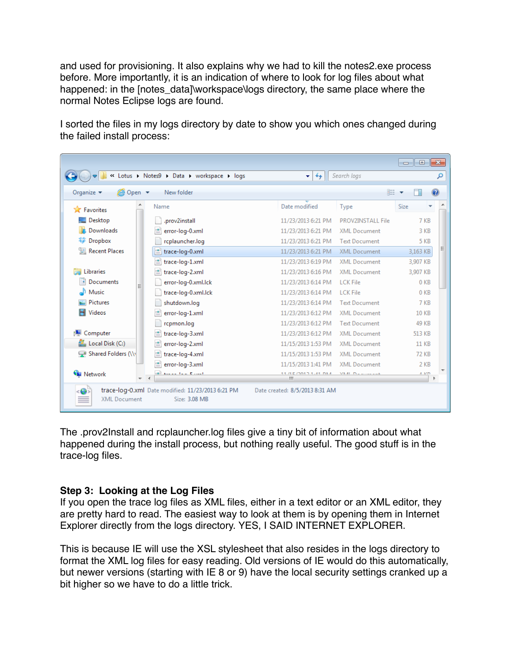and used for provisioning. It also explains why we had to kill the notes2.exe process before. More importantly, it is an indication of where to look for log files about what happened: in the [notes\_data]\workspace\logs directory, the same place where the normal Notes Eclipse logs are found.

I sorted the files in my logs directory by date to show you which ones changed during the failed install process:

|                                                  | « Lotus > Notes9 > Data > workspace > logs                         | $\ddotmark$<br>÷.              | Search logs          | $\Box$<br>$\Box$ | x<br>م  |
|--------------------------------------------------|--------------------------------------------------------------------|--------------------------------|----------------------|------------------|---------|
| <b>@</b> Open ▼<br>Organize $\blacktriangledown$ | New folder                                                         |                                |                      | 脂→               | $\circ$ |
| <b>The Favorites</b>                             | Name                                                               | Date modified                  | Type                 | Size             |         |
| Desktop                                          | .prov2install                                                      | 11/23/2013 6:21 PM             | PROV2INSTALL File    | 7 KB             |         |
| Downloads                                        | error-log-0.xml                                                    | 11/23/2013 6:21 PM             | <b>XML</b> Document  | 3 KB             |         |
| <b>整</b> Dropbox                                 | rcplauncher.log                                                    | 11/23/2013 6:21 PM             | <b>Text Document</b> | <b>5 KB</b>      |         |
| <b>图 Recent Places</b>                           | trace-log-0.xml                                                    | 11/23/2013 6:21 PM             | <b>XML Document</b>  | 3,163 KB         |         |
|                                                  | trace-log-1.xml                                                    | 11/23/2013 6:19 PM             | <b>XML Document</b>  | 3,907 KB         |         |
| Libraries                                        | trace-log-2.xml                                                    | 11/23/2013 6:16 PM             | <b>XML Document</b>  | 3,907 KB         |         |
| Documents<br>E.                                  | error-log-0.xml.lck                                                | 11/23/2013 6:14 PM             | LCK File             | 0 <sub>KB</sub>  |         |
| al <sup>1</sup> Music                            | trace-log-0.xml.lck                                                | 11/23/2013 6:14 PM             | LCK File             | 0 <sub>KB</sub>  |         |
| Pictures                                         | shutdown.log                                                       | 11/23/2013 6:14 PM             | <b>Text Document</b> | 7 KB             |         |
| Videos<br>Ħ                                      | error-log-1.xml                                                    | 11/23/2013 6:12 PM             | <b>XML Document</b>  | <b>10 KB</b>     |         |
|                                                  | rcpmon.log                                                         | 11/23/2013 6:12 PM             | <b>Text Document</b> | 49 KB            |         |
| Computer                                         | trace-log-3.xml                                                    | 11/23/2013 6:12 PM             | <b>XML Document</b>  | 513 KB           |         |
| Local Disk (C:)                                  | error-log-2.xml                                                    | 11/15/2013 1:53 PM             | <b>XML</b> Document  | 11 KB            |         |
| Shared Folders (\\                               | trace-log-4.xml                                                    | 11/15/2013 1:53 PM             | <b>XML</b> Document  | <b>72 KB</b>     |         |
|                                                  | l≌<br>error-log-3.xml                                              | 11/15/2013 1:41 PM             | <b>XML Document</b>  | 2 KB             |         |
| <b>W</b> Network<br>$-1$                         | المسارع البريزا المحمد الأقة                                       | 11 /10/2010 1-41 DM<br>ш       | MEAL INTERFERING     | $A-VD$           |         |
| <b>XML Document</b>                              | trace-log-0.xml Date modified: 11/23/2013 6:21 PM<br>Size: 3.08 MB | Date created: 8/5/2013 8:31 AM |                      |                  |         |

The .prov2Install and rcplauncher.log files give a tiny bit of information about what happened during the install process, but nothing really useful. The good stuff is in the trace-log files.

### **Step 3: Looking at the Log Files**

If you open the trace log files as XML files, either in a text editor or an XML editor, they are pretty hard to read. The easiest way to look at them is by opening them in Internet Explorer directly from the logs directory. YES, I SAID INTERNET EXPLORER.

This is because IE will use the XSL stylesheet that also resides in the logs directory to format the XML log files for easy reading. Old versions of IE would do this automatically, but newer versions (starting with IE 8 or 9) have the local security settings cranked up a bit higher so we have to do a little trick.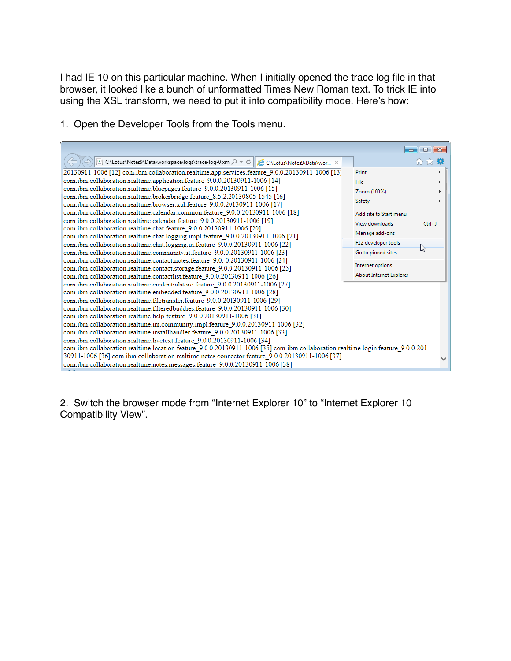I had IE 10 on this particular machine. When I initially opened the trace log file in that browser, it looked like a bunch of unformatted Times New Roman text. To trick IE into using the XSL transform, we need to put it into compatibility mode. Here's how:





2. Switch the browser mode from "Internet Explorer 10" to "Internet Explorer 10 Compatibility View".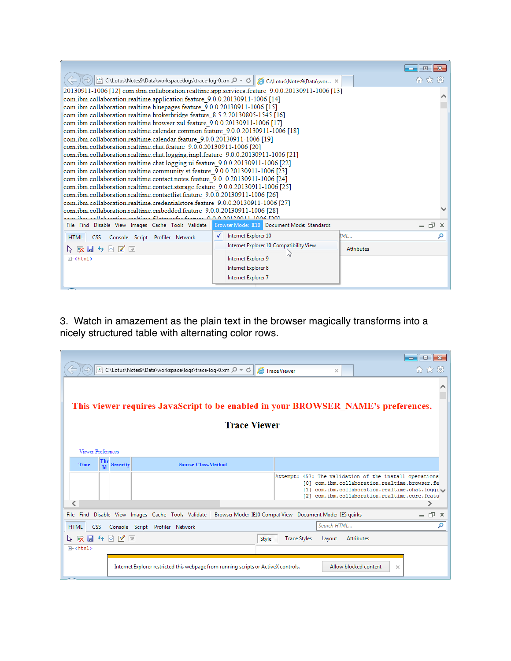|                                                                                                  |                                                                                 | $-23$<br>$\Box$   |  |  |  |  |
|--------------------------------------------------------------------------------------------------|---------------------------------------------------------------------------------|-------------------|--|--|--|--|
| © C:\Lotus\Notes9\Data\workspace\logs\trace-log-0.xm 2 - C                                       | 10 大 13                                                                         |                   |  |  |  |  |
| 20130911-1006 [12] com.ibm.collaboration.realtime.app.services.feature 9.0.0.20130911-1006 [13]  |                                                                                 |                   |  |  |  |  |
| com.ibm.collaboration.realtime.application.feature 9.0.0.20130911-1006 [14]                      |                                                                                 |                   |  |  |  |  |
| com.ibm.collaboration.realtime.bluepages.feature 9.0.0.20130911-1006 [15]                        |                                                                                 |                   |  |  |  |  |
| com.ibm.collaboration.realtime.brokerbridge.feature 8.5.2.20130805-1545 [16]                     |                                                                                 |                   |  |  |  |  |
| com.ibm.collaboration.realtime.browser.xul.feature 9.0.0.20130911-1006 [17]                      |                                                                                 |                   |  |  |  |  |
| com.ibm.collaboration.realtime.calendar.common.feature 9.0.0.20130911-1006 [18]                  |                                                                                 |                   |  |  |  |  |
| com.ibm.collaboration.realtime.calendar.feature_9.0.0.20130911-1006 [19]                         |                                                                                 |                   |  |  |  |  |
| com.ibm.collaboration.realtime.chat.feature 9.0.0.20130911-1006 [20]                             |                                                                                 |                   |  |  |  |  |
| com.ibm.collaboration.realtime.chat.logging.impl.feature 9.0.0.20130911-1006 [21]                |                                                                                 |                   |  |  |  |  |
| com.ibm.collaboration.realtime.chat.logging.ui.feature 9.0.0.20130911-1006 [22]                  |                                                                                 |                   |  |  |  |  |
| com.ibm.collaboration.realtime.community.st.feature 9.0.0.20130911-1006 [23]                     |                                                                                 |                   |  |  |  |  |
| com.ibm.collaboration.realtime.contact.notes.feature 9.0. 0.20130911-1006 [24]                   |                                                                                 |                   |  |  |  |  |
|                                                                                                  | com.ibm.collaboration.realtime.contact.storage.feature 9.0.0.20130911-1006 [25] |                   |  |  |  |  |
| com.ibm.collaboration.realtime.contactlist.feature 9.0.0.20130911-1006 [26]                      |                                                                                 |                   |  |  |  |  |
| com.ibm.collaboration.realtime.credentialstore.feature 9.0.0.20130911-1006 [27]                  |                                                                                 |                   |  |  |  |  |
| $F_{\text{total}} = 0.00120011$                                                                  | com.ibm.collaboration.realtime.embedded.feature 9.0.0.20130911-1006 [28]        |                   |  |  |  |  |
| File Find Disable View Images Cache Tools Validate   Browser Mode: IE10 Document Mode: Standards |                                                                                 | - 印<br>x          |  |  |  |  |
| <b>HTML</b><br>Console Script Profiler Network<br>CSS                                            | Internet Explorer 10                                                            | TМI<br>α          |  |  |  |  |
| $ o $ $\mathbb{Z}$ $\mathbb{R}$                                                                  | Internet Explorer 10 Compatibility View                                         | <b>Attributes</b> |  |  |  |  |
| 田· <html></html>                                                                                 | Internet Explorer 9                                                             |                   |  |  |  |  |
|                                                                                                  | <b>Internet Explorer 8</b>                                                      |                   |  |  |  |  |
| <b>Internet Explorer 7</b>                                                                       |                                                                                 |                   |  |  |  |  |
|                                                                                                  |                                                                                 |                   |  |  |  |  |

3. Watch in amazement as the plain text in the browser magically transforms into a nicely structured table with alternating color rows.

|                                                                                   |                   | C:\Lotus\Notes9\Data\workspace\logs\trace-log-0.xm $\mathcal{D} \times \mathcal{C}$ |                                                          | Trace Viewer        | $\times$    |                                                                                                                                                                                                        | $\Box$           |
|-----------------------------------------------------------------------------------|-------------------|-------------------------------------------------------------------------------------|----------------------------------------------------------|---------------------|-------------|--------------------------------------------------------------------------------------------------------------------------------------------------------------------------------------------------------|------------------|
|                                                                                   |                   |                                                                                     |                                                          |                     |             |                                                                                                                                                                                                        |                  |
| This viewer requires JavaScript to be enabled in your BROWSER NAME's preferences. |                   |                                                                                     |                                                          |                     |             |                                                                                                                                                                                                        |                  |
|                                                                                   |                   |                                                                                     | <b>Trace Viewer</b>                                      |                     |             |                                                                                                                                                                                                        |                  |
| <b>Viewer Preferences</b>                                                         |                   |                                                                                     |                                                          |                     |             |                                                                                                                                                                                                        |                  |
| Thr<br>Time<br>Id                                                                 | <b>Severity</b>   | <b>Source Class, Method</b>                                                         |                                                          |                     |             |                                                                                                                                                                                                        |                  |
|                                                                                   |                   |                                                                                     |                                                          |                     |             | Attempt: 457: The validation of the install operations<br>[0] com.ibm.collaboration.realtime.browser.fe<br>com.ibm.collaboration.realtime.chat.loggiv<br>[2] com.ibm.collaboration.realtime.core.featu |                  |
| ∢                                                                                 |                   |                                                                                     |                                                          |                     |             |                                                                                                                                                                                                        |                  |
|                                                                                   |                   | File Find Disable View Images Cache Tools Validate                                  | Browser Mode: IE10 Compat View Document Mode: IE5 quirks |                     |             |                                                                                                                                                                                                        | $ \Box$ $\times$ |
| <b>HTML</b><br>CSS                                                                |                   | Console Script Profiler Network                                                     |                                                          |                     | Search HTML |                                                                                                                                                                                                        |                  |
|                                                                                   | k).<br><b>M</b> R |                                                                                     | Style                                                    | <b>Trace Styles</b> | Layout      | <b>Attributes</b>                                                                                                                                                                                      |                  |
| 田· <html></html>                                                                  |                   |                                                                                     |                                                          |                     |             |                                                                                                                                                                                                        |                  |
|                                                                                   |                   | Internet Explorer restricted this webpage from running scripts or ActiveX controls. |                                                          |                     |             | Allow blocked content<br>$\times$                                                                                                                                                                      |                  |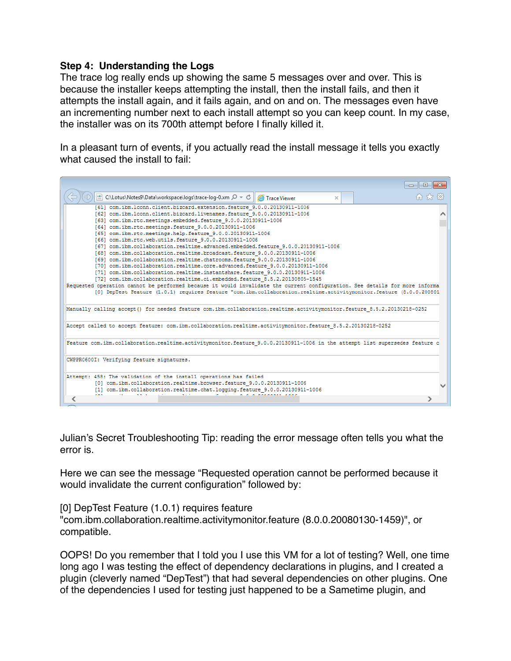#### **Step 4: Understanding the Logs**

The trace log really ends up showing the same 5 messages over and over. This is because the installer keeps attempting the install, then the install fails, and then it attempts the install again, and it fails again, and on and on. The messages even have an incrementing number next to each install attempt so you can keep count. In my case, the installer was on its 700th attempt before I finally killed it.

In a pleasant turn of events, if you actually read the install message it tells you exactly what caused the install to fail:

| $\Box$                                                                                                                                                                                                                                                                                                                                                                                                                                                                                                                                                                                                                                                                                                                                                                                                                                                                                                                                                                                                                                                                                                                                                    | $-x$ |  |  |  |  |  |
|-----------------------------------------------------------------------------------------------------------------------------------------------------------------------------------------------------------------------------------------------------------------------------------------------------------------------------------------------------------------------------------------------------------------------------------------------------------------------------------------------------------------------------------------------------------------------------------------------------------------------------------------------------------------------------------------------------------------------------------------------------------------------------------------------------------------------------------------------------------------------------------------------------------------------------------------------------------------------------------------------------------------------------------------------------------------------------------------------------------------------------------------------------------|------|--|--|--|--|--|
| © C:\Lotus\Notes9\Data\workspace\logs\trace-log-0.xm , Q = c  <br>Trace Viewer<br>×                                                                                                                                                                                                                                                                                                                                                                                                                                                                                                                                                                                                                                                                                                                                                                                                                                                                                                                                                                                                                                                                       |      |  |  |  |  |  |
| [61] com.ibm.lconn.client.bizcard.extension.feature 9.0.0.20130911-1006<br>[62] com.ibm.lconn.client.bizcard.livenames.feature 9.0.0.20130911-1006<br>[63] com.ibm.rtc.meetings.embedded.feature 9.0.0.20130911-1006<br>[64] com.ibm.rtc.meetings.feature 9.0.0.20130911-1006<br>[65] com.ibm.rtc.meetings.help.feature 9.0.0.20130911-1006<br>[66] com.ibm.rtc.web.utils.feature 9.0.0.20130911-1006<br>[67] com.ibm.collaboration.realtime.advanced.embedded.feature 9.0.0.20130911-1006<br>[68] com.ibm.collaboration.realtime.broadcast.feature 9.0.0.20130911-1006<br>[69] com.ibm.collaboration.realtime.chatrooms.feature 9.0.0.20130911-1006<br>[70] com.ibm.collaboration.realtime.core.advanced.feature 9.0.0.20130911-1006<br>[71] com.ibm.collaboration.realtime.instantshare.feature 9.0.0.20130911-1006<br>[72] com.ibm.collaboration.realtime.oi.embedded.feature 8.5.2.20130805-1545<br>Requested operation cannot be performed because it would invalidate the current configuration. See details for more informa<br>[0] DepTest Feature (1.0.1) requires feature "com.ibm.collaboration.realtime.activitymonitor.feature (8.0.0.200801 |      |  |  |  |  |  |
| Manually calling accept() for needed feature com.ibm.collaboration.realtime.activitymonitor.feature 8.5.2.20130218-0252                                                                                                                                                                                                                                                                                                                                                                                                                                                                                                                                                                                                                                                                                                                                                                                                                                                                                                                                                                                                                                   |      |  |  |  |  |  |
| Accept called to accept feature: com.ibm.collaboration.realtime.activitymonitor.feature 8.5.2.20130218-0252                                                                                                                                                                                                                                                                                                                                                                                                                                                                                                                                                                                                                                                                                                                                                                                                                                                                                                                                                                                                                                               |      |  |  |  |  |  |
| Feature com.ibm.collaboration.realtime.activitymonitor.feature 9.0.0.20130911-1006 in the attempt list supersedes feature c                                                                                                                                                                                                                                                                                                                                                                                                                                                                                                                                                                                                                                                                                                                                                                                                                                                                                                                                                                                                                               |      |  |  |  |  |  |
| CWPPR0600I: Verifying feature signatures.                                                                                                                                                                                                                                                                                                                                                                                                                                                                                                                                                                                                                                                                                                                                                                                                                                                                                                                                                                                                                                                                                                                 |      |  |  |  |  |  |
| Attempt: 458: The validation of the install operations has failed<br>[0] com.ibm.collaboration.realtime.browser.feature 9.0.0.20130911-1006<br>[1] com.ibm.collaboration.realtime.chat.logging.feature 9.0.0.20130911-1006                                                                                                                                                                                                                                                                                                                                                                                                                                                                                                                                                                                                                                                                                                                                                                                                                                                                                                                                |      |  |  |  |  |  |
|                                                                                                                                                                                                                                                                                                                                                                                                                                                                                                                                                                                                                                                                                                                                                                                                                                                                                                                                                                                                                                                                                                                                                           |      |  |  |  |  |  |

Julian's Secret Troubleshooting Tip: reading the error message often tells you what the error is.

Here we can see the message "Requested operation cannot be performed because it would invalidate the current configuration" followed by:

[0] DepTest Feature (1.0.1) requires feature "com.ibm.collaboration.realtime.activitymonitor.feature (8.0.0.20080130-1459)", or compatible.

OOPS! Do you remember that I told you I use this VM for a lot of testing? Well, one time long ago I was testing the effect of dependency declarations in plugins, and I created a plugin (cleverly named "DepTest") that had several dependencies on other plugins. One of the dependencies I used for testing just happened to be a Sametime plugin, and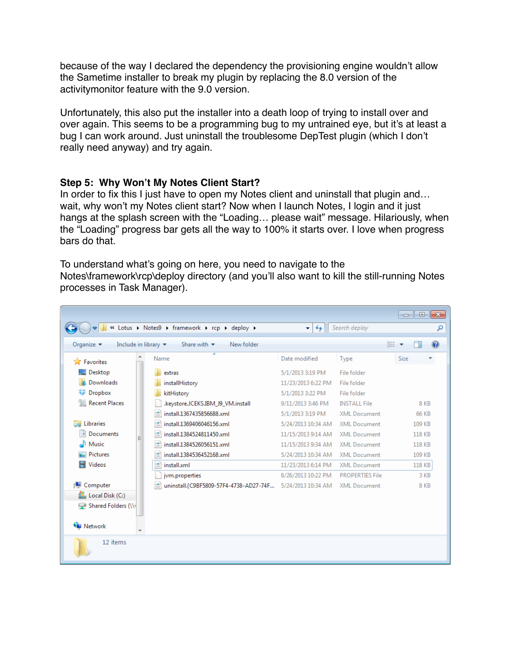because of the way I declared the dependency the provisioning engine wouldn't allow the Sametime installer to break my plugin by replacing the 8.0 version of the activitymonitor feature with the 9.0 version.

Unfortunately, this also put the installer into a death loop of trying to install over and over again. This seems to be a programming bug to my untrained eye, but it's at least a bug I can work around. Just uninstall the troublesome DepTest plugin (which I don't really need anyway) and try again.

## **Step 5: Why Won't My Notes Client Start?**

In order to fix this I just have to open my Notes client and uninstall that plugin and... wait, why won't my Notes client start? Now when I launch Notes, I login and it just hangs at the splash screen with the "Loading… please wait" message. Hilariously, when the "Loading" progress bar gets all the way to 100% it starts over. I love when progress bars do that.

To understand what's going on here, you need to navigate to the Notes\framework\rcp\deploy directory (and you'll also want to kill the still-running Notes processes in Task Manager).

|                                                                          |                                                           |                    |                        | $\mathbf{x}$<br>$\Box$<br>$\Box$ |
|--------------------------------------------------------------------------|-----------------------------------------------------------|--------------------|------------------------|----------------------------------|
|                                                                          | « Lotus > Notes9 > framework > rcp > deploy >             | $+$<br>v.          | Search deploy          | م                                |
| Include in library $\blacktriangledown$<br>Organize $\blacktriangledown$ | Share with $\blacktriangledown$<br>New folder             |                    |                        | 0<br>胆汁                          |
| <b>X</b> Favorites                                                       | ≖<br>Name                                                 | Date modified      | Type                   | <b>Size</b><br>▼                 |
| Desktop                                                                  | extras                                                    | 5/1/2013 3:19 PM   | File folder            |                                  |
| Downloads                                                                | installHistory                                            | 11/23/2013 6:22 PM | File folder            |                                  |
| Dropbox                                                                  | kitHistory                                                | 5/1/2013 3:22 PM   | File folder            |                                  |
| <b>Recent Places</b><br>H                                                | .keystore.JCEKS.IBM_J9_VM.install                         | 9/11/2013 3:46 PM  | <b>INSTALL File</b>    | 8 KB                             |
|                                                                          | install.1367435856688.xml                                 | 5/1/2013 3:19 PM   | <b>XML Document</b>    | 66 KB                            |
| Libraries                                                                | install.1369406046156.xml                                 | 5/24/2013 10:34 AM | <b>XML Document</b>    | 109 KB                           |
| 귘<br>Documents<br>Ξ                                                      | l≌<br>install.1384524811450.xml                           | 11/15/2013 9:14 AM | <b>XML</b> Document    | <b>118 KB</b>                    |
| Music                                                                    | ≝<br>install.1384526056151.xml                            | 11/15/2013 9:34 AM | <b>XML Document</b>    | 118 KB                           |
| <b>Pictures</b>                                                          | install.1384536452168.xml<br>≝                            | 5/24/2013 10:34 AM | <b>XML Document</b>    | 109 KB                           |
| Videos                                                                   | ≝<br>install.xml                                          | 11/23/2013 6:14 PM | <b>XML Document</b>    | 118 KB                           |
|                                                                          | jym.properties                                            | 8/26/2013 10:22 PM | <b>PROPERTIES File</b> | 3 KB                             |
| Computer                                                                 | uninstall.{C9BF5809-57F4-4738-AD27-74F 5/24/2013 10:34 AM |                    | <b>XML Document</b>    | 8 KB                             |
| Local Disk (C:)                                                          |                                                           |                    |                        |                                  |
| Shared Folders (\\                                                       |                                                           |                    |                        |                                  |
|                                                                          |                                                           |                    |                        |                                  |
| <b>W</b> Network                                                         |                                                           |                    |                        |                                  |
| 12 items                                                                 |                                                           |                    |                        |                                  |